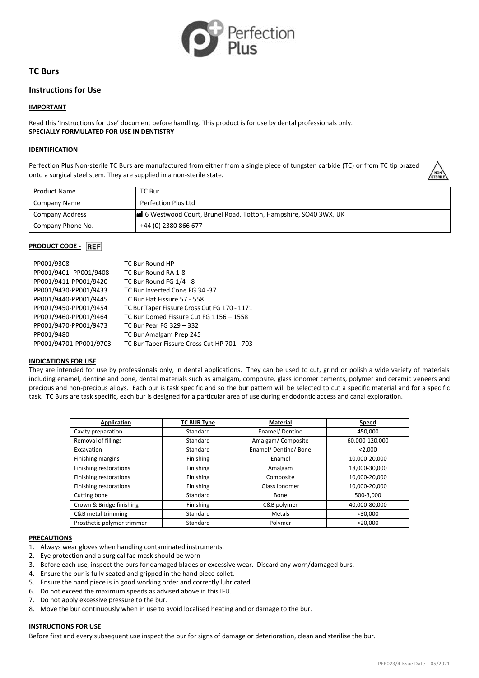

# **TC Burs**

## **Instructions for Use**

### **IMPORTANT**

Read this 'Instructions for Use' document before handling. This product is for use by dental professionals only. **SPECIALLY FORMULATED FOR USE IN DENTISTRY**

### **IDENTIFICATION**

Perfection Plus Non-sterile TC Burs are manufactured from either from a single piece of tungsten carbide (TC) or from TC tip brazed onto a surgical steel stem. They are supplied in a non-sterile state.



| <b>Product Name</b> | TC Bur                                                         |
|---------------------|----------------------------------------------------------------|
| Company Name        | Perfection Plus Ltd                                            |
| Company Address     | 6 Westwood Court, Brunel Road, Totton, Hampshire, SO40 3WX, UK |
| Company Phone No.   | +44 (0) 2380 866 677                                           |

## **PRODUCT CODE -** REF

| PP001/9308             | TC Bur Round HP                              |
|------------------------|----------------------------------------------|
| PP001/9401-PP001/9408  | TC Bur Round RA 1-8                          |
| PP001/9411-PP001/9420  | TC Bur Round FG 1/4 - 8                      |
| PP001/9430-PP001/9433  | TC Bur Inverted Cone FG 34 -37               |
| PP001/9440-PP001/9445  | TC Bur Flat Fissure 57 - 558                 |
| PP001/9450-PP001/9454  | TC Bur Taper Fissure Cross Cut FG 170 - 1171 |
| PP001/9460-PP001/9464  | TC Bur Domed Fissure Cut FG 1156 - 1558      |
| PP001/9470-PP001/9473  | TC Bur Pear FG 329 - 332                     |
| PP001/9480             | TC Bur Amalgam Prep 245                      |
| PP001/94701-PP001/9703 | TC Bur Taper Fissure Cross Cut HP 701 - 703  |

#### **INDICATIONS FOR USE**

They are intended for use by professionals only, in dental applications. They can be used to cut, grind or polish a wide variety of materials including enamel, dentine and bone, dental materials such as amalgam, composite, glass ionomer cements, polymer and ceramic veneers and precious and non-precious alloys. Each bur is task specific and so the bur pattern will be selected to cut a specific material and for a specific task. TC Burs are task specific, each bur is designed for a particular area of use during endodontic access and canal exploration.

| <b>Application</b>         | <b>TC BUR Type</b> | <b>Material</b>     | <b>Speed</b>   |
|----------------------------|--------------------|---------------------|----------------|
| Cavity preparation         | Standard           | Enamel/Dentine      | 450,000        |
| <b>Removal of fillings</b> | Standard           | Amalgam/Composite   | 60,000-120,000 |
| Excavation                 | Standard           | Enamel/Dentine/Bone | < 2,000        |
| Finishing margins          | Finishing          | Enamel              | 10,000-20,000  |
| Finishing restorations     | Finishing          | Amalgam             | 18,000-30,000  |
| Finishing restorations     | Finishing          | Composite           | 10.000-20.000  |
| Finishing restorations     | Finishing          | Glass Ionomer       | 10.000-20.000  |
| Cutting bone               | Standard           | Bone                | 500-3,000      |
| Crown & Bridge finishing   | Finishing          | C&B polymer         | 40,000-80,000  |
| C&B metal trimming         | Standard           | Metals              | $<$ 30,000     |
| Prosthetic polymer trimmer | Standard           | Polymer             | $<$ 20,000     |

### **PRECAUTIONS**

- 1. Always wear gloves when handling contaminated instruments.
- 2. Eye protection and a surgical fae mask should be worn
- 3. Before each use, inspect the burs for damaged blades or excessive wear. Discard any worn/damaged burs.
- 4. Ensure the bur is fully seated and gripped in the hand piece collet.
- 5. Ensure the hand piece is in good working order and correctly lubricated.
- 6. Do not exceed the maximum speeds as advised above in this IFU.
- 7. Do not apply excessive pressure to the bur.
- 8. Move the bur continuously when in use to avoid localised heating and or damage to the bur.

### **INSTRUCTIONS FOR USE**

Before first and every subsequent use inspect the bur for signs of damage or deterioration, clean and sterilise the bur.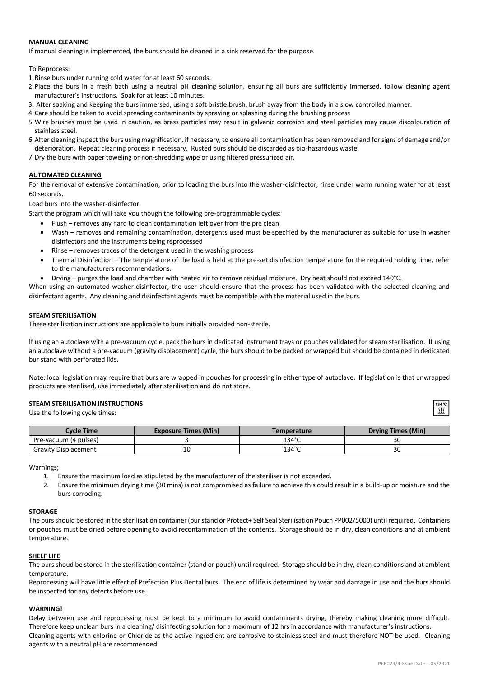## **MANUAL CLEANING**

If manual cleaning is implemented, the burs should be cleaned in a sink reserved for the purpose.

To Reprocess:

- 1.Rinse burs under running cold water for at least 60 seconds.
- 2.Place the burs in a fresh bath using a neutral pH cleaning solution, ensuring all burs are sufficiently immersed, follow cleaning agent manufacturer's instructions. Soak for at least 10 minutes.
- 3. After soaking and keeping the burs immersed, using a soft bristle brush, brush away from the body in a slow controlled manner.
- 4.Care should be taken to avoid spreading contaminants by spraying or splashing during the brushing process
- 5.Wire brushes must be used in caution, as brass particles may result in galvanic corrosion and steel particles may cause discolouration of stainless steel.
- 6.After cleaning inspect the burs using magnification, if necessary, to ensure all contamination has been removed and for signs of damage and/or deterioration. Repeat cleaning process if necessary. Rusted burs should be discarded as bio-hazardous waste.
- 7.Dry the burs with paper toweling or non-shredding wipe or using filtered pressurized air.

## **AUTOMATED CLEANING**

For the removal of extensive contamination, prior to loading the burs into the washer-disinfector, rinse under warm running water for at least 60 seconds.

Load burs into the washer-disinfector.

Start the program which will take you though the following pre-programmable cycles:

- Flush removes any hard to clean contamination left over from the pre clean
- Wash removes and remaining contamination, detergents used must be specified by the manufacturer as suitable for use in washer disinfectors and the instruments being reprocessed
- Rinse removes traces of the detergent used in the washing process
- Thermal Disinfection The temperature of the load is held at the pre-set disinfection temperature for the required holding time, refer to the manufacturers recommendations.
- Drying purges the load and chamber with heated air to remove residual moisture. Dry heat should not exceed 140°C.

When using an automated washer-disinfector, the user should ensure that the process has been validated with the selected cleaning and disinfectant agents. Any cleaning and disinfectant agents must be compatible with the material used in the burs.

### **STEAM STERILISATION**

These sterilisation instructions are applicable to burs initially provided non-sterile.

If using an autoclave with a pre-vacuum cycle, pack the burs in dedicated instrument trays or pouches validated for steam sterilisation. If using an autoclave without a pre-vacuum (gravity displacement) cycle, the burs should to be packed or wrapped but should be contained in dedicated bur stand with perforated lids.

Note: local legislation may require that burs are wrapped in pouches for processing in either type of autoclave. If legislation is that unwrapped products are sterilised, use immediately after sterilisation and do not store.

#### **STEAM STERILISATION INSTRUCTIONS**

Use the following cycle times:

| Cvcle Time                  | <b>Exposure Times (Min)</b> | Temperature     | Drying Times (Min) |
|-----------------------------|-----------------------------|-----------------|--------------------|
| Pre-vacuum (4 pulses)       |                             | $134^\circ$ C   | JU                 |
| <b>Gravity Displacement</b> | τu                          | $134^{\circ}$ C | JU                 |

Warnings;

- 1. Ensure the maximum load as stipulated by the manufacturer of the steriliser is not exceeded.
- 2. Ensure the minimum drying time (30 mins) is not compromised as failure to achieve this could result in a build-up or moisture and the burs corroding.

### **STORAGE**

The burs should be stored in the sterilisation container (bur stand or Protect+ Self Seal Sterilisation Pouch PP002/5000) until required. Containers or pouches must be dried before opening to avoid recontamination of the contents. Storage should be in dry, clean conditions and at ambient temperature.

#### **SHELF LIFE**

The burs shoud be stored in the sterilisation container (stand or pouch) until required. Storage should be in dry, clean conditions and at ambient temperature.

Reprocessing will have little effect of Prefection Plus Dental burs. The end of life is determined by wear and damage in use and the burs should be inspected for any defects before use.

## **WARNING!**

Delay between use and reprocessing must be kept to a minimum to avoid contaminants drying, thereby making cleaning more difficult. Therefore keep unclean burs in a cleaning/ disinfecting solution for a maximum of 12 hrs in accordance with manufacturer's instructions. Cleaning agents with chlorine or Chloride as the active ingredient are corrosive to stainless steel and must therefore NOT be used. Cleaning agents with a neutral pH are recommended.

 $\overline{m}$